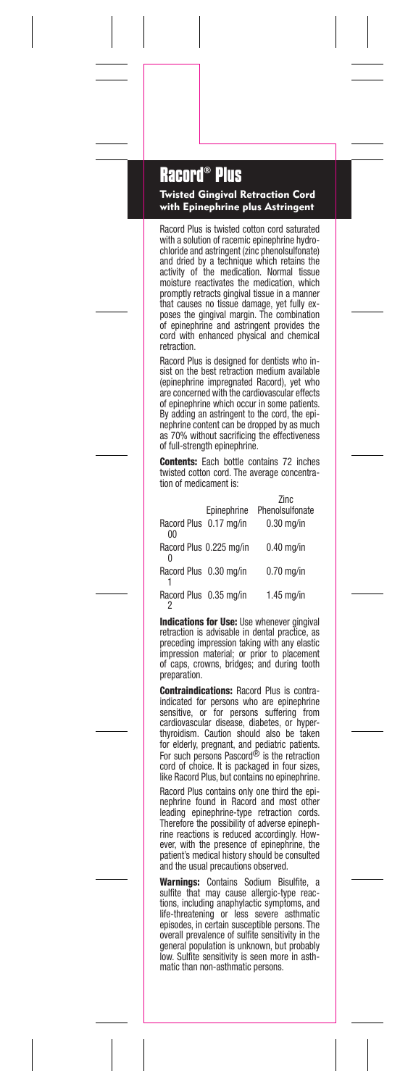## **Racord® Plus**

Twisted Gingival Retraction Cord with Epinephrine plus Astringent

Racord Plus is twisted cotton cord saturated with a solution of racemic epinephrine hydrochloride and astringent (zinc phenolsulfonate) and dried by a technique which retains the activity of the medication. Normal tissue moisture reactivates the medication, which promptly retracts gingival tissue in a manner that causes no tissue damage, yet fully ex-poses the gingival margin. The combination of epinephrine and astringent provides the cord with enhanced physical and chemical retraction.

Racord Plus is designed for dentists who insist on the best retraction medium available (epinephrine impregnated Racord), yet who are concerned with the cardiovascular effects of epinephrine which occur in some patients. By adding an astringent to the cord, the epinephrine content can be dropped by as much as 70% without sacrificing the effectiveness of full-strength epinephrine.

**Contents:** Each bottle contains 72 inches<br>twisted cotton cord. The average concentration of medicament is:

| Racord Plus 0.17 mg/in<br>0 <sub>0</sub> | Epinephrine             | Zinc<br>Phenolsulfonate<br>$0.30$ mg/in |
|------------------------------------------|-------------------------|-----------------------------------------|
|                                          | Racord Plus 0.225 mg/in | $0.40$ ma/in                            |
| Racord Plus 0.30 mg/in                   |                         | $0.70$ ma/in                            |
| Racord Plus 0.35 mg/in                   |                         | $1.45$ ma/in                            |

Indications for Use: Use whenever gingival retraction is advisable in dental practice, as preceding impression taking with any elastic impression material; or prior to placement of caps, crowns, bridges; and during tooth preparation.

Contraindications: Racord Plus is contraindicated for persons who are epinephrine sensitive, or for persons suffering from cardiovascular disease, diabetes, or hyper-<br>thyroidism. Caution should also be taken<br>for elderly, pregnant, and pediatric patients.<br>For such persons Pascord® is the retraction cord of choice. It is packaged in four sizes, like Racord Plus, but contains no epinephrine.

Racord Plus contains only one third the epinephrine found in Racord and most other leading epinephrine-type retraction cords. Therefore the possibility of adverse epinephrine reactions is reduced accordingly. However, with the presence of epinephrine, the patient's medical history should be consulted and the usual precautions observed.

Warnings: Contains Sodium Bisulfite, a sulfite that may cause allergic-type reactions, including anaphylactic symptoms, and life-threatening or less severe asthmatic episodes, in certain susceptible persons. The overall prevalence of sulfite sensitivity in the general population is unknown, but probably low. Sulfite sensitivity is seen more in asthmatic than non-asthmatic persons.